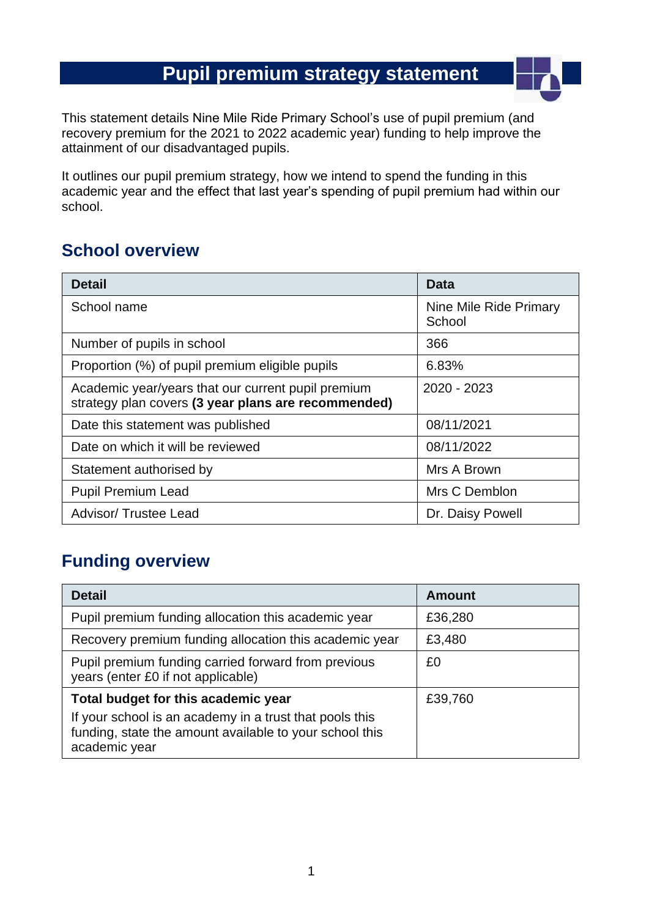# **Pupil premium strategy statement**

This statement details Nine Mile Ride Primary School's use of pupil premium (and recovery premium for the 2021 to 2022 academic year) funding to help improve the attainment of our disadvantaged pupils.

It outlines our pupil premium strategy, how we intend to spend the funding in this academic year and the effect that last year's spending of pupil premium had within our school.

### **School overview**

| <b>Detail</b>                                                                                             | Data                             |
|-----------------------------------------------------------------------------------------------------------|----------------------------------|
| School name                                                                                               | Nine Mile Ride Primary<br>School |
| Number of pupils in school                                                                                | 366                              |
| Proportion (%) of pupil premium eligible pupils                                                           | 6.83%                            |
| Academic year/years that our current pupil premium<br>strategy plan covers (3 year plans are recommended) | 2020 - 2023                      |
| Date this statement was published                                                                         | 08/11/2021                       |
| Date on which it will be reviewed                                                                         | 08/11/2022                       |
| Statement authorised by                                                                                   | Mrs A Brown                      |
| <b>Pupil Premium Lead</b>                                                                                 | Mrs C Demblon                    |
| <b>Advisor/ Trustee Lead</b>                                                                              | Dr. Daisy Powell                 |

### **Funding overview**

| <b>Detail</b>                                                                                                                       | <b>Amount</b> |
|-------------------------------------------------------------------------------------------------------------------------------------|---------------|
| Pupil premium funding allocation this academic year                                                                                 | £36,280       |
| Recovery premium funding allocation this academic year                                                                              | £3,480        |
| Pupil premium funding carried forward from previous<br>years (enter £0 if not applicable)                                           | £0            |
| Total budget for this academic year                                                                                                 | £39,760       |
| If your school is an academy in a trust that pools this<br>funding, state the amount available to your school this<br>academic year |               |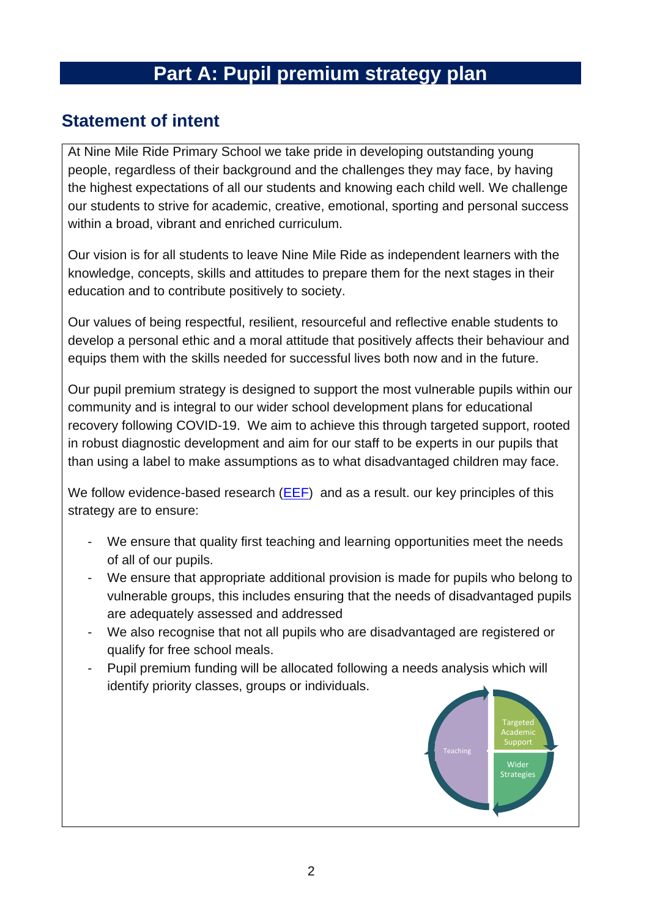# **Part A: Pupil premium strategy plan**

#### **Statement of intent**

At Nine Mile Ride Primary School we take pride in developing outstanding young people, regardless of their background and the challenges they may face, by having the highest expectations of all our students and knowing each child well. We challenge our students to strive for academic, creative, emotional, sporting and personal success within a broad, vibrant and enriched curriculum.

Our vision is for all students to leave Nine Mile Ride as independent learners with the knowledge, concepts, skills and attitudes to prepare them for the next stages in their education and to contribute positively to society.

Our values of being respectful, resilient, resourceful and reflective enable students to develop a personal ethic and a moral attitude that positively affects their behaviour and equips them with the skills needed for successful lives both now and in the future.

Our pupil premium strategy is designed to support the most vulnerable pupils within our community and is integral to our wider school development plans for educational recovery following COVID-19. We aim to achieve this through targeted support, rooted in robust diagnostic development and aim for our staff to be experts in our pupils that than using a label to make assumptions as to what disadvantaged children may face.

We follow evidence-based research [\(EEF\)](https://educationendowmentfoundation.org.uk/public/files/Publications/Covid-19_Resources/The_EEF_guide_to_supporting_school_planning_-_A_tiered_approach_to_2021.pdf) and as a result. our key principles of this strategy are to ensure:

- We ensure that quality first teaching and learning opportunities meet the needs of all of our pupils.
- We ensure that appropriate additional provision is made for pupils who belong to vulnerable groups, this includes ensuring that the needs of disadvantaged pupils are adequately assessed and addressed
- We also recognise that not all pupils who are disadvantaged are registered or qualify for free school meals.
- Pupil premium funding will be allocated following a needs analysis which will identify priority classes, groups or individuals.

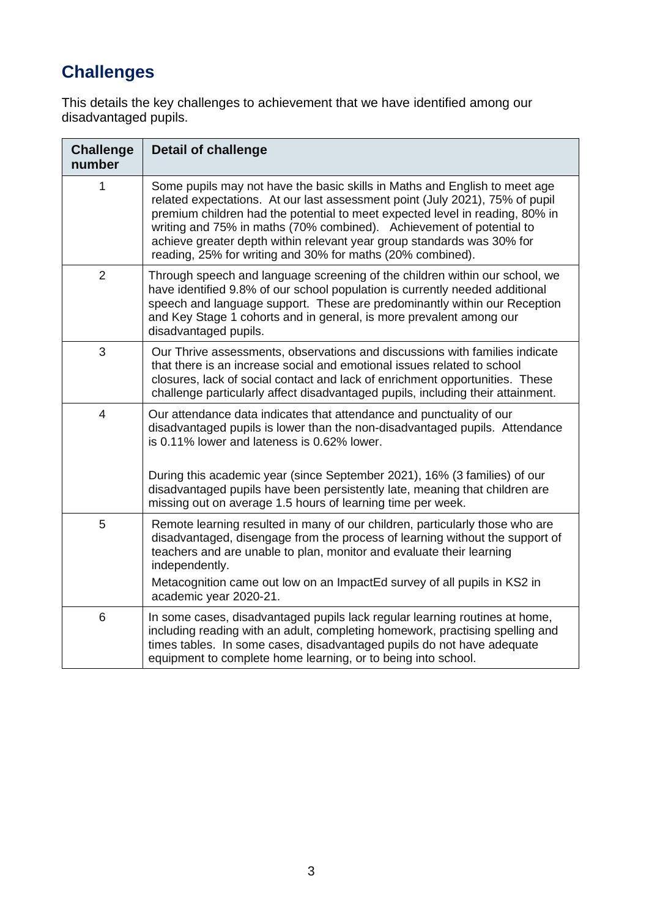# **Challenges**

This details the key challenges to achievement that we have identified among our disadvantaged pupils.

| <b>Challenge</b><br>number | <b>Detail of challenge</b>                                                                                                                                                                                                                                                                                                                                                                                                                                 |  |
|----------------------------|------------------------------------------------------------------------------------------------------------------------------------------------------------------------------------------------------------------------------------------------------------------------------------------------------------------------------------------------------------------------------------------------------------------------------------------------------------|--|
| 1                          | Some pupils may not have the basic skills in Maths and English to meet age<br>related expectations. At our last assessment point (July 2021), 75% of pupil<br>premium children had the potential to meet expected level in reading, 80% in<br>writing and 75% in maths (70% combined). Achievement of potential to<br>achieve greater depth within relevant year group standards was 30% for<br>reading, 25% for writing and 30% for maths (20% combined). |  |
| $\overline{2}$             | Through speech and language screening of the children within our school, we<br>have identified 9.8% of our school population is currently needed additional<br>speech and language support. These are predominantly within our Reception<br>and Key Stage 1 cohorts and in general, is more prevalent among our<br>disadvantaged pupils.                                                                                                                   |  |
| 3                          | Our Thrive assessments, observations and discussions with families indicate<br>that there is an increase social and emotional issues related to school<br>closures, lack of social contact and lack of enrichment opportunities. These<br>challenge particularly affect disadvantaged pupils, including their attainment.                                                                                                                                  |  |
| $\overline{\mathcal{A}}$   | Our attendance data indicates that attendance and punctuality of our<br>disadvantaged pupils is lower than the non-disadvantaged pupils. Attendance<br>is 0.11% lower and lateness is 0.62% lower.<br>During this academic year (since September 2021), 16% (3 families) of our                                                                                                                                                                            |  |
|                            | disadvantaged pupils have been persistently late, meaning that children are<br>missing out on average 1.5 hours of learning time per week.                                                                                                                                                                                                                                                                                                                 |  |
| 5                          | Remote learning resulted in many of our children, particularly those who are<br>disadvantaged, disengage from the process of learning without the support of<br>teachers and are unable to plan, monitor and evaluate their learning<br>independently.                                                                                                                                                                                                     |  |
|                            | Metacognition came out low on an ImpactEd survey of all pupils in KS2 in<br>academic year 2020-21.                                                                                                                                                                                                                                                                                                                                                         |  |
| 6                          | In some cases, disadvantaged pupils lack regular learning routines at home,<br>including reading with an adult, completing homework, practising spelling and<br>times tables. In some cases, disadvantaged pupils do not have adequate<br>equipment to complete home learning, or to being into school.                                                                                                                                                    |  |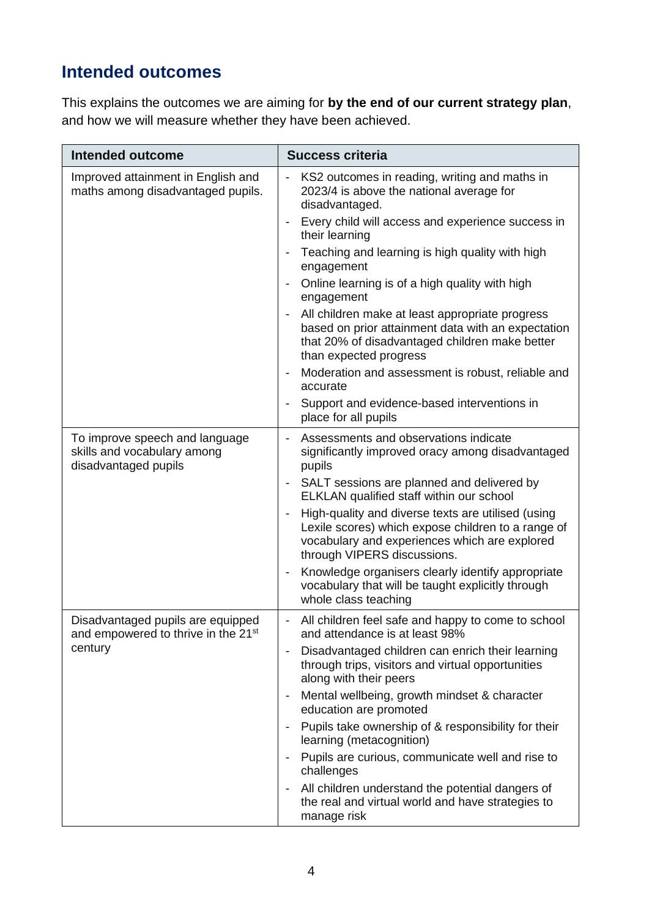# **Intended outcomes**

This explains the outcomes we are aiming for **by the end of our current strategy plan**, and how we will measure whether they have been achieved.

| <b>Intended outcome</b>                                                                         | <b>Success criteria</b>                                                                                                                                                                  |
|-------------------------------------------------------------------------------------------------|------------------------------------------------------------------------------------------------------------------------------------------------------------------------------------------|
| Improved attainment in English and<br>maths among disadvantaged pupils.                         | KS2 outcomes in reading, writing and maths in<br>2023/4 is above the national average for<br>disadvantaged.                                                                              |
|                                                                                                 | Every child will access and experience success in<br>$\overline{\phantom{a}}$<br>their learning                                                                                          |
|                                                                                                 | Teaching and learning is high quality with high<br>engagement                                                                                                                            |
|                                                                                                 | Online learning is of a high quality with high<br>engagement                                                                                                                             |
|                                                                                                 | All children make at least appropriate progress<br>based on prior attainment data with an expectation<br>that 20% of disadvantaged children make better<br>than expected progress        |
|                                                                                                 | Moderation and assessment is robust, reliable and<br>accurate                                                                                                                            |
|                                                                                                 | Support and evidence-based interventions in<br>place for all pupils                                                                                                                      |
| To improve speech and language<br>skills and vocabulary among<br>disadvantaged pupils           | Assessments and observations indicate<br>significantly improved oracy among disadvantaged<br>pupils                                                                                      |
|                                                                                                 | SALT sessions are planned and delivered by<br>ELKLAN qualified staff within our school                                                                                                   |
|                                                                                                 | High-quality and diverse texts are utilised (using<br>Lexile scores) which expose children to a range of<br>vocabulary and experiences which are explored<br>through VIPERS discussions. |
|                                                                                                 | Knowledge organisers clearly identify appropriate<br>vocabulary that will be taught explicitly through<br>whole class teaching                                                           |
| Disadvantaged pupils are equipped<br>and empowered to thrive in the 21 <sup>st</sup><br>century | All children feel safe and happy to come to school<br>and attendance is at least 98%                                                                                                     |
|                                                                                                 | Disadvantaged children can enrich their learning<br>through trips, visitors and virtual opportunities<br>along with their peers                                                          |
|                                                                                                 | Mental wellbeing, growth mindset & character<br>education are promoted                                                                                                                   |
|                                                                                                 | Pupils take ownership of & responsibility for their<br>$\overline{\phantom{a}}$<br>learning (metacognition)                                                                              |
|                                                                                                 | Pupils are curious, communicate well and rise to<br>$\overline{\phantom{0}}$<br>challenges                                                                                               |
|                                                                                                 | All children understand the potential dangers of<br>the real and virtual world and have strategies to<br>manage risk                                                                     |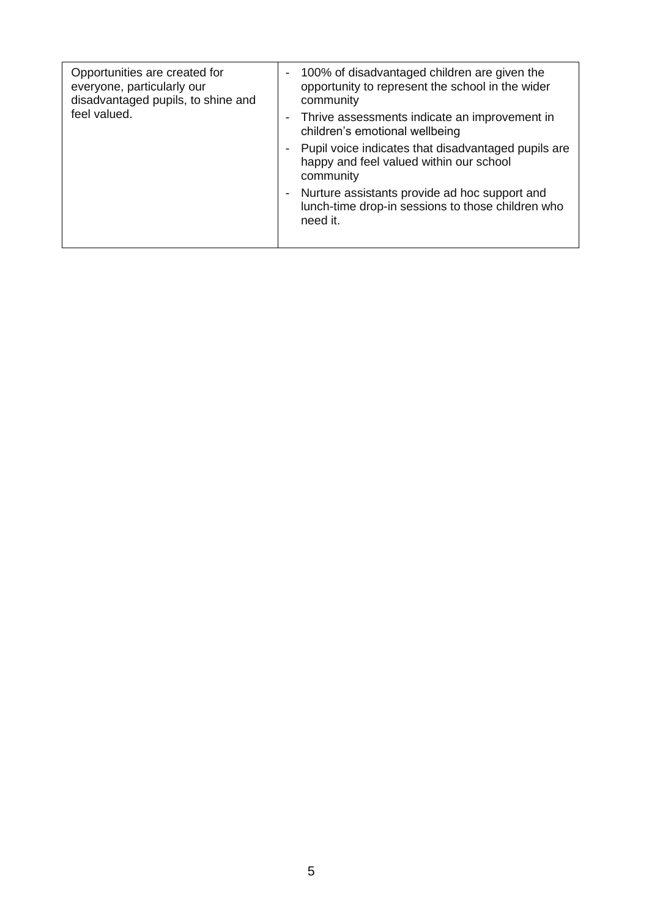| Opportunities are created for<br>everyone, particularly our<br>disadvantaged pupils, to shine and<br>feel valued. |                          | 100% of disadvantaged children are given the<br>opportunity to represent the school in the wider<br>community  |
|-------------------------------------------------------------------------------------------------------------------|--------------------------|----------------------------------------------------------------------------------------------------------------|
|                                                                                                                   | $\overline{\phantom{a}}$ | Thrive assessments indicate an improvement in<br>children's emotional wellbeing                                |
|                                                                                                                   |                          | Pupil voice indicates that disadvantaged pupils are<br>happy and feel valued within our school<br>community    |
|                                                                                                                   |                          | Nurture assistants provide ad hoc support and<br>lunch-time drop-in sessions to those children who<br>need it. |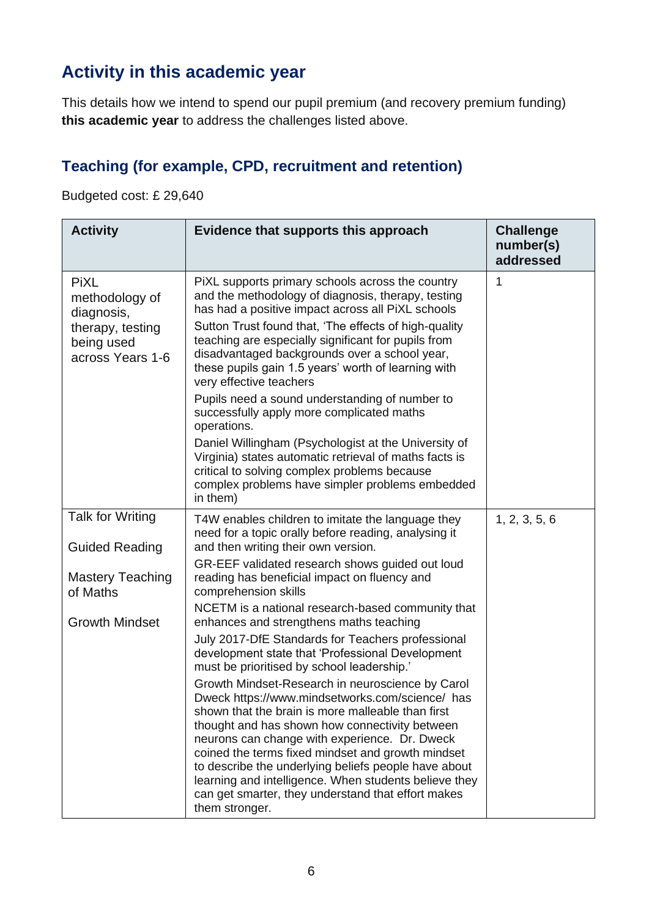# **Activity in this academic year**

This details how we intend to spend our pupil premium (and recovery premium funding) **this academic year** to address the challenges listed above.

## **Teaching (for example, CPD, recruitment and retention)**

Budgeted cost: £ 29,640

| <b>Activity</b>                                    | Evidence that supports this approach                                                                                                                                                                                                                                                                                                                                                                                                                                                                      | <b>Challenge</b><br>number(s)<br>addressed |
|----------------------------------------------------|-----------------------------------------------------------------------------------------------------------------------------------------------------------------------------------------------------------------------------------------------------------------------------------------------------------------------------------------------------------------------------------------------------------------------------------------------------------------------------------------------------------|--------------------------------------------|
| <b>PiXL</b><br>methodology of<br>diagnosis,        | PiXL supports primary schools across the country<br>and the methodology of diagnosis, therapy, testing<br>has had a positive impact across all PiXL schools                                                                                                                                                                                                                                                                                                                                               | 1                                          |
| therapy, testing<br>being used<br>across Years 1-6 | Sutton Trust found that, 'The effects of high-quality<br>teaching are especially significant for pupils from<br>disadvantaged backgrounds over a school year,<br>these pupils gain 1.5 years' worth of learning with<br>very effective teachers                                                                                                                                                                                                                                                           |                                            |
|                                                    | Pupils need a sound understanding of number to<br>successfully apply more complicated maths<br>operations.                                                                                                                                                                                                                                                                                                                                                                                                |                                            |
|                                                    | Daniel Willingham (Psychologist at the University of<br>Virginia) states automatic retrieval of maths facts is<br>critical to solving complex problems because<br>complex problems have simpler problems embedded<br>in them)                                                                                                                                                                                                                                                                             |                                            |
| <b>Talk for Writing</b><br><b>Guided Reading</b>   | T4W enables children to imitate the language they<br>need for a topic orally before reading, analysing it<br>and then writing their own version.                                                                                                                                                                                                                                                                                                                                                          | 1, 2, 3, 5, 6                              |
| <b>Mastery Teaching</b><br>of Maths                | GR-EEF validated research shows guided out loud<br>reading has beneficial impact on fluency and<br>comprehension skills                                                                                                                                                                                                                                                                                                                                                                                   |                                            |
| <b>Growth Mindset</b>                              | NCETM is a national research-based community that<br>enhances and strengthens maths teaching                                                                                                                                                                                                                                                                                                                                                                                                              |                                            |
|                                                    | July 2017-DfE Standards for Teachers professional<br>development state that 'Professional Development<br>must be prioritised by school leadership.'                                                                                                                                                                                                                                                                                                                                                       |                                            |
|                                                    | Growth Mindset-Research in neuroscience by Carol<br>Dweck https://www.mindsetworks.com/science/ has<br>shown that the brain is more malleable than first<br>thought and has shown how connectivity between<br>neurons can change with experience. Dr. Dweck<br>coined the terms fixed mindset and growth mindset<br>to describe the underlying beliefs people have about<br>learning and intelligence. When students believe they<br>can get smarter, they understand that effort makes<br>them stronger. |                                            |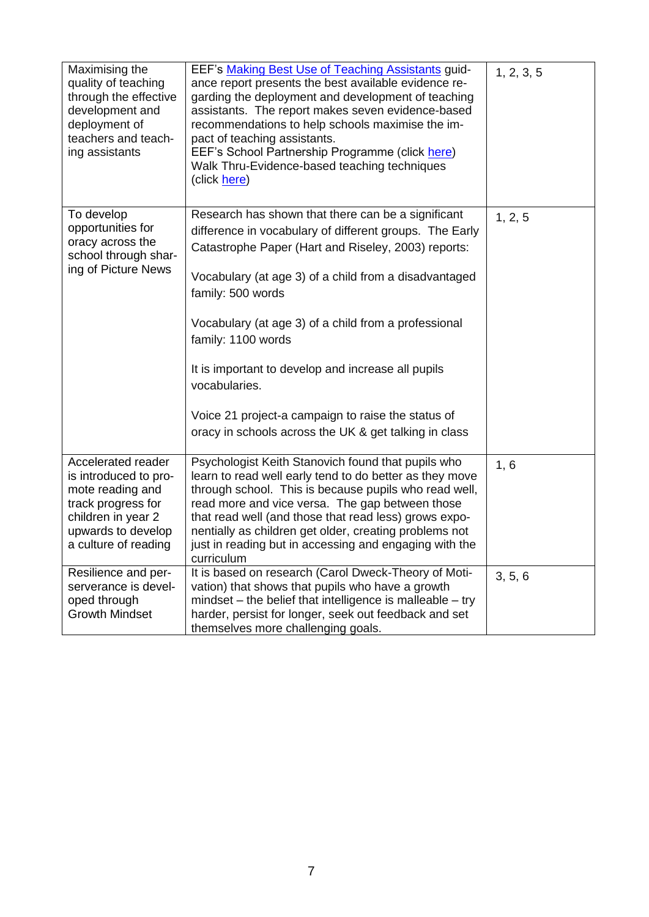| Maximising the<br>quality of teaching<br>through the effective<br>development and<br>deployment of<br>teachers and teach-<br>ing assistants               | EEF's Making Best Use of Teaching Assistants guid-<br>ance report presents the best available evidence re-<br>garding the deployment and development of teaching<br>assistants. The report makes seven evidence-based<br>recommendations to help schools maximise the im-<br>pact of teaching assistants.<br>EEF's School Partnership Programme (click here)<br>Walk Thru-Evidence-based teaching techniques<br>(click here)                                                                                           | 1, 2, 3, 5 |
|-----------------------------------------------------------------------------------------------------------------------------------------------------------|------------------------------------------------------------------------------------------------------------------------------------------------------------------------------------------------------------------------------------------------------------------------------------------------------------------------------------------------------------------------------------------------------------------------------------------------------------------------------------------------------------------------|------------|
| To develop<br>opportunities for<br>oracy across the<br>school through shar-<br>ing of Picture News                                                        | Research has shown that there can be a significant<br>difference in vocabulary of different groups. The Early<br>Catastrophe Paper (Hart and Riseley, 2003) reports:<br>Vocabulary (at age 3) of a child from a disadvantaged<br>family: 500 words<br>Vocabulary (at age 3) of a child from a professional<br>family: 1100 words<br>It is important to develop and increase all pupils<br>vocabularies.<br>Voice 21 project-a campaign to raise the status of<br>oracy in schools across the UK & get talking in class | 1, 2, 5    |
| Accelerated reader<br>is introduced to pro-<br>mote reading and<br>track progress for<br>children in year 2<br>upwards to develop<br>a culture of reading | Psychologist Keith Stanovich found that pupils who<br>learn to read well early tend to do better as they move<br>through school. This is because pupils who read well,<br>read more and vice versa. The gap between those<br>that read well (and those that read less) grows expo-<br>nentially as children get older, creating problems not<br>just in reading but in accessing and engaging with the<br>curriculum                                                                                                   | 1, 6       |
| Resilience and per-<br>serverance is devel-<br>oped through<br><b>Growth Mindset</b>                                                                      | It is based on research (Carol Dweck-Theory of Moti-<br>vation) that shows that pupils who have a growth<br>$mindset$ – the belief that intelligence is malleable – try<br>harder, persist for longer, seek out feedback and set<br>themselves more challenging goals.                                                                                                                                                                                                                                                 | 3, 5, 6    |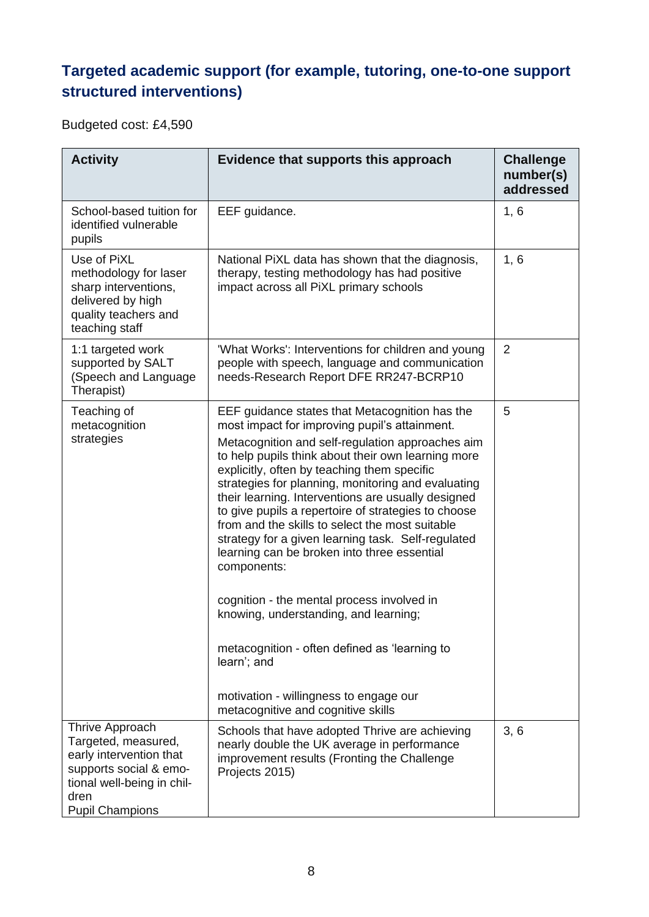## **Targeted academic support (for example, tutoring, one-to-one support structured interventions)**

Budgeted cost: £4,590

| <b>Activity</b>                                                                                                                                             | Evidence that supports this approach                                                                                                                                                                                                                                                                                                                                                                                                                                                                                                                                                                                                                                                                                                                                                                                                      | <b>Challenge</b><br>number(s)<br>addressed |
|-------------------------------------------------------------------------------------------------------------------------------------------------------------|-------------------------------------------------------------------------------------------------------------------------------------------------------------------------------------------------------------------------------------------------------------------------------------------------------------------------------------------------------------------------------------------------------------------------------------------------------------------------------------------------------------------------------------------------------------------------------------------------------------------------------------------------------------------------------------------------------------------------------------------------------------------------------------------------------------------------------------------|--------------------------------------------|
| School-based tuition for<br>identified vulnerable<br>pupils                                                                                                 | EEF guidance.                                                                                                                                                                                                                                                                                                                                                                                                                                                                                                                                                                                                                                                                                                                                                                                                                             | 1, 6                                       |
| Use of PiXL<br>methodology for laser<br>sharp interventions,<br>delivered by high<br>quality teachers and<br>teaching staff                                 | National PiXL data has shown that the diagnosis,<br>therapy, testing methodology has had positive<br>impact across all PiXL primary schools                                                                                                                                                                                                                                                                                                                                                                                                                                                                                                                                                                                                                                                                                               | 1, 6                                       |
| 1:1 targeted work<br>supported by SALT<br>(Speech and Language<br>Therapist)                                                                                | 'What Works': Interventions for children and young<br>people with speech, language and communication<br>needs-Research Report DFE RR247-BCRP10                                                                                                                                                                                                                                                                                                                                                                                                                                                                                                                                                                                                                                                                                            | $\overline{2}$                             |
| Teaching of<br>metacognition<br>strategies                                                                                                                  | EEF guidance states that Metacognition has the<br>most impact for improving pupil's attainment.<br>Metacognition and self-regulation approaches aim<br>to help pupils think about their own learning more<br>explicitly, often by teaching them specific<br>strategies for planning, monitoring and evaluating<br>their learning. Interventions are usually designed<br>to give pupils a repertoire of strategies to choose<br>from and the skills to select the most suitable<br>strategy for a given learning task. Self-regulated<br>learning can be broken into three essential<br>components:<br>cognition - the mental process involved in<br>knowing, understanding, and learning;<br>metacognition - often defined as 'learning to<br>learn'; and<br>motivation - willingness to engage our<br>metacognitive and cognitive skills | 5                                          |
| Thrive Approach<br>Targeted, measured,<br>early intervention that<br>supports social & emo-<br>tional well-being in chil-<br>dren<br><b>Pupil Champions</b> | Schools that have adopted Thrive are achieving<br>nearly double the UK average in performance<br>improvement results (Fronting the Challenge<br>Projects 2015)                                                                                                                                                                                                                                                                                                                                                                                                                                                                                                                                                                                                                                                                            | 3, 6                                       |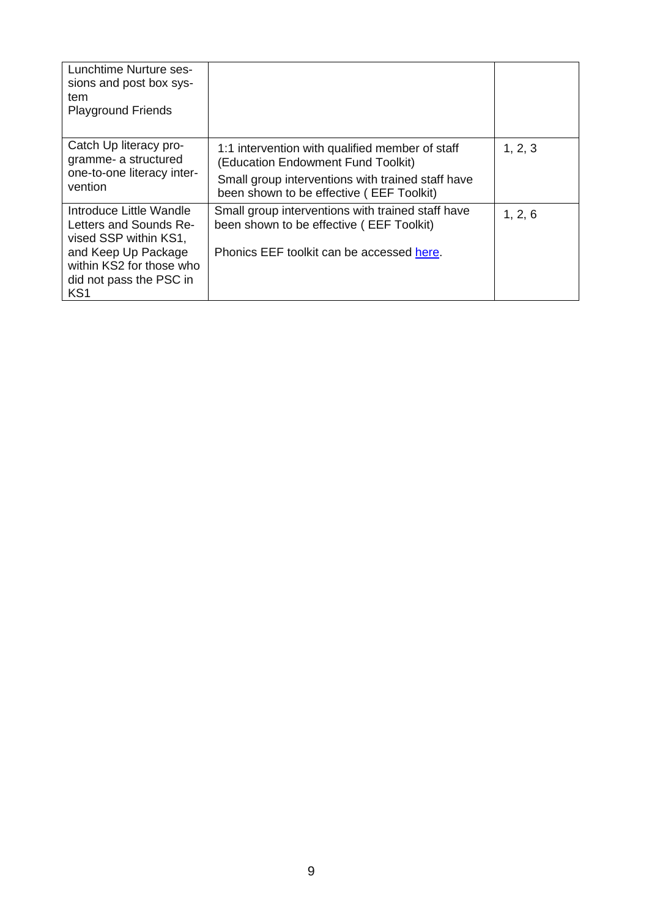| Lunchtime Nurture ses-<br>sions and post box sys-<br>tem<br><b>Playground Friends</b>                                                                                       |                                                                                                                                                                                        |         |
|-----------------------------------------------------------------------------------------------------------------------------------------------------------------------------|----------------------------------------------------------------------------------------------------------------------------------------------------------------------------------------|---------|
| Catch Up literacy pro-<br>gramme- a structured<br>one-to-one literacy inter-<br>vention                                                                                     | 1:1 intervention with qualified member of staff<br>(Education Endowment Fund Toolkit)<br>Small group interventions with trained staff have<br>been shown to be effective (EEF Toolkit) | 1, 2, 3 |
| Introduce Little Wandle<br>Letters and Sounds Re-<br>vised SSP within KS1,<br>and Keep Up Package<br>within KS2 for those who<br>did not pass the PSC in<br>KS <sub>1</sub> | Small group interventions with trained staff have<br>been shown to be effective (EEF Toolkit)<br>Phonics EEF toolkit can be accessed here.                                             | 1, 2, 6 |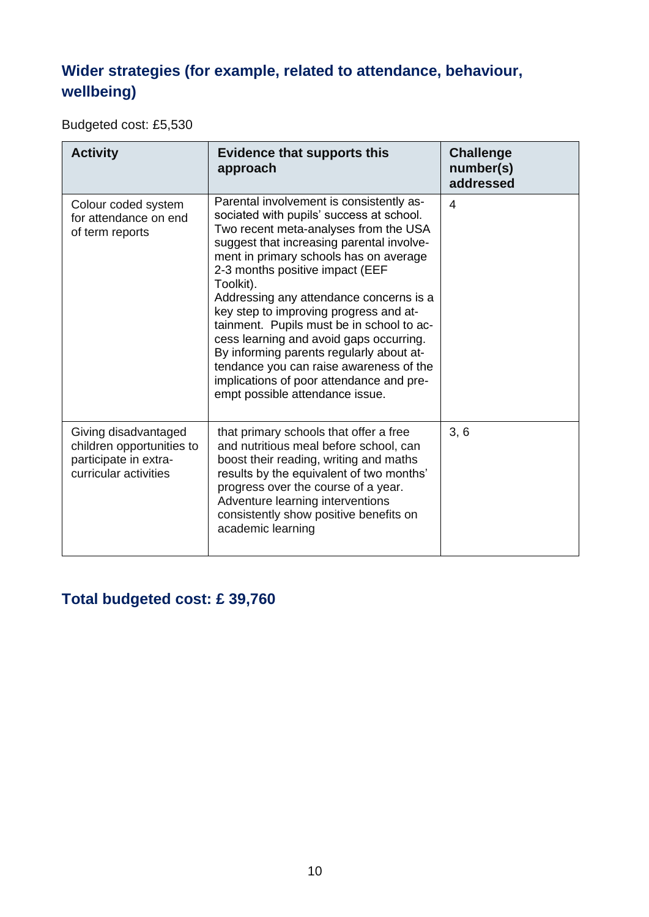## **Wider strategies (for example, related to attendance, behaviour, wellbeing)**

Budgeted cost: £5,530

| <b>Activity</b>                                                                                     | <b>Evidence that supports this</b><br>approach                                                                                                                                                                                                                                                                                                                                                                                                                                                                                                                                                                          | <b>Challenge</b><br>number(s)<br>addressed |
|-----------------------------------------------------------------------------------------------------|-------------------------------------------------------------------------------------------------------------------------------------------------------------------------------------------------------------------------------------------------------------------------------------------------------------------------------------------------------------------------------------------------------------------------------------------------------------------------------------------------------------------------------------------------------------------------------------------------------------------------|--------------------------------------------|
| Colour coded system<br>for attendance on end<br>of term reports                                     | Parental involvement is consistently as-<br>sociated with pupils' success at school.<br>Two recent meta-analyses from the USA<br>suggest that increasing parental involve-<br>ment in primary schools has on average<br>2-3 months positive impact (EEF<br>Toolkit).<br>Addressing any attendance concerns is a<br>key step to improving progress and at-<br>tainment. Pupils must be in school to ac-<br>cess learning and avoid gaps occurring.<br>By informing parents regularly about at-<br>tendance you can raise awareness of the<br>implications of poor attendance and pre-<br>empt possible attendance issue. | 4                                          |
| Giving disadvantaged<br>children opportunities to<br>participate in extra-<br>curricular activities | that primary schools that offer a free<br>and nutritious meal before school, can<br>boost their reading, writing and maths<br>results by the equivalent of two months'<br>progress over the course of a year.<br>Adventure learning interventions<br>consistently show positive benefits on<br>academic learning                                                                                                                                                                                                                                                                                                        | 3, 6                                       |

### **Total budgeted cost: £ 39,760**